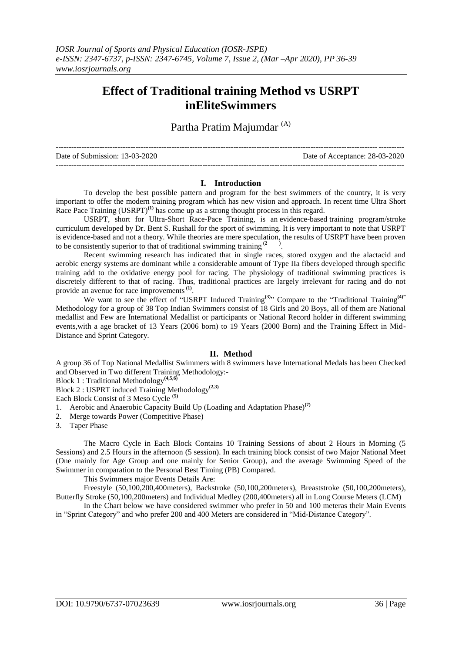# **Effect of Traditional training Method vs USRPT inEliteSwimmers**

Partha Pratim Majumdar<sup>(A)</sup>

--------------------------------------------------------------------------------------------------------------------------------------- Date of Submission: 13-03-2020 Date of Acceptance: 28-03-2020 ---------------------------------------------------------------------------------------------------------------------------------------

### **I. Introduction**

To develop the best possible pattern and program for the best swimmers of the country, it is very important to offer the modern training program which has new vision and approach. In recent time Ultra Short Race Pace Training (USRPT)<sup>(1)</sup> has come up as a strong thought process in this regard.

USRPT, short for Ultra-Short Race-Pace Training, is an [evidence-based](http://usrpt.com/mini-guide-to-usrpt/) training program/stroke curriculum developed by Dr. Bent S. Rushall for the sport of swimming. It is very important to note that USRPT is evidence-based and not a theory. While theories are mere speculation, the results of USRPT have been proven to be consistently superior to that of traditional swimming training **(2 )** .

Recent swimming research has indicated that in single races, stored oxygen and the alactacid and aerobic energy systems are dominant while a considerable amount of Type IIa fibers developed through specific training add to the oxidative energy pool for racing. The physiology of traditional swimming practices is discretely different to that of racing. Thus, traditional practices are largely irrelevant for racing and do not provide an avenue for race improvements<sup>(1)</sup>.

We want to see the effect of "USRPT Induced Training<sup>(3)</sup>" Compare to the "Traditional Training<sup>(4)"</sup> Methodology for a group of 38 Top Indian Swimmers consist of 18 Girls and 20 Boys, all of them are National medallist and Few are International Medallist or participants or National Record holder in different swimming events,with a age bracket of 13 Years (2006 born) to 19 Years (2000 Born) and the Training Effect in Mid-Distance and Sprint Category.

## **II. Method**

A group 36 of Top National Medallist Swimmers with 8 swimmers have International Medals has been Checked and Observed in Two different Training Methodology:-

Block 1 : Traditional Methodology**(4,5,6)**

Block 2 : USPRT induced Training Methodology**(2,3)**

Each Block Consist of 3 Meso Cycle **(5)**

1. Aerobic and Anaerobic Capacity Build Up (Loading and Adaptation Phase)**(7)**

2. Merge towards Power (Competitive Phase)

3. Taper Phase

The Macro Cycle in Each Block Contains 10 Training Sessions of about 2 Hours in Morning (5 Sessions) and 2.5 Hours in the afternoon (5 session). In each training block consist of two Major National Meet (One mainly for Age Group and one mainly for Senior Group), and the average Swimming Speed of the Swimmer in comparation to the Personal Best Timing (PB) Compared.

This Swimmers major Events Details Are:

Freestyle (50,100,200,400meters), Backstroke (50,100,200meters), Breaststroke (50,100,200meters), Butterfly Stroke (50,100,200meters) and Individual Medley (200,400meters) all in Long Course Meters (LCM)

In the Chart below we have considered swimmer who prefer in 50 and 100 meteras their Main Events in "Sprint Category" and who prefer 200 and 400 Meters are considered in "Mid-Distance Category".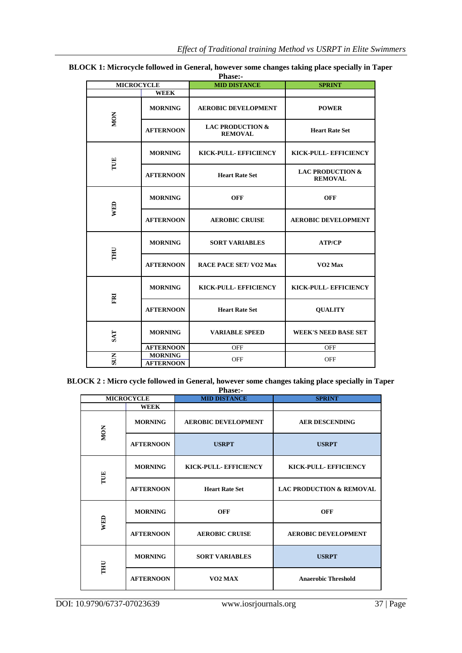| <b>MICROCYCLE</b> |                                    | і паэс.-<br><b>MID DISTANCE</b>               | <b>SPRINT</b>                                 |
|-------------------|------------------------------------|-----------------------------------------------|-----------------------------------------------|
| <b>WEEK</b>       |                                    |                                               |                                               |
| <b>MON</b>        | <b>MORNING</b>                     | <b>AEROBIC DEVELOPMENT</b>                    | <b>POWER</b>                                  |
|                   | <b>AFTERNOON</b>                   | <b>LAC PRODUCTION &amp;</b><br><b>REMOVAL</b> | <b>Heart Rate Set</b>                         |
| TUE               | <b>MORNING</b>                     | KICK-PULL- EFFICIENCY                         | KICK-PULL- EFFICIENCY                         |
|                   | <b>AFTERNOON</b>                   | <b>Heart Rate Set</b>                         | <b>LAC PRODUCTION &amp;</b><br><b>REMOVAL</b> |
| <b>WED</b>        | <b>MORNING</b>                     | <b>OFF</b>                                    | <b>OFF</b>                                    |
|                   | <b>AFTERNOON</b>                   | <b>AEROBIC CRUISE</b>                         | <b>AEROBIC DEVELOPMENT</b>                    |
| <b>THU</b>        | <b>MORNING</b>                     | <b>SORT VARIABLES</b>                         | <b>ATP/CP</b>                                 |
|                   | <b>AFTERNOON</b>                   | <b>RACE PACE SET/VO2 Max</b>                  | VO <sub>2</sub> Max                           |
| FRI               | <b>MORNING</b>                     | KICK-PULL-EFFICIENCY                          | KICK-PULL- EFFICIENCY                         |
|                   | <b>AFTERNOON</b>                   | <b>Heart Rate Set</b>                         | <b>QUALITY</b>                                |
| <b>SAT</b>        | <b>MORNING</b>                     | <b>VARIABLE SPEED</b>                         | <b>WEEK'S NEED BASE SET</b>                   |
|                   | <b>AFTERNOON</b>                   | <b>OFF</b>                                    | <b>OFF</b>                                    |
| <b>SUN</b>        | <b>MORNING</b><br><b>AFTERNOON</b> | <b>OFF</b>                                    | <b>OFF</b>                                    |

**BLOCK 1: Microcycle followed in General, however some changes taking place specially in Taper Phase:-**

**BLOCK 2 : Micro cycle followed in General, however some changes taking place specially in Taper Phase:-**

| 1 паэс.-          |                  |                            |                                     |  |  |  |
|-------------------|------------------|----------------------------|-------------------------------------|--|--|--|
| <b>MICROCYCLE</b> |                  | <b>MID DISTANCE</b>        | <b>SPRINT</b>                       |  |  |  |
|                   | <b>WEEK</b>      |                            |                                     |  |  |  |
| <b>MON</b>        | <b>MORNING</b>   | <b>AEROBIC DEVELOPMENT</b> | <b>AER DESCENDING</b>               |  |  |  |
|                   | <b>AFTERNOON</b> | <b>USRPT</b>               | <b>USRPT</b>                        |  |  |  |
| TUE               | <b>MORNING</b>   | KICK-PULL-EFFICIENCY       | KICK-PULL-EFFICIENCY                |  |  |  |
|                   | <b>AFTERNOON</b> | <b>Heart Rate Set</b>      | <b>LAC PRODUCTION &amp; REMOVAL</b> |  |  |  |
| <b>WED</b>        | <b>MORNING</b>   | <b>OFF</b>                 | <b>OFF</b>                          |  |  |  |
|                   | <b>AFTERNOON</b> | <b>AEROBIC CRUISE</b>      | <b>AEROBIC DEVELOPMENT</b>          |  |  |  |
| THU               | <b>MORNING</b>   | <b>SORT VARIABLES</b>      | <b>USRPT</b>                        |  |  |  |
|                   | <b>AFTERNOON</b> | VO <sub>2</sub> MAX        | <b>Anaerobic Threshold</b>          |  |  |  |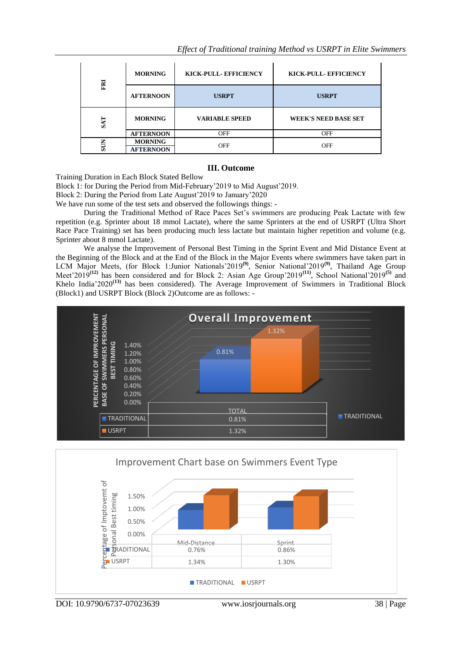| FRI        | <b>MORNING</b>   | KICK-PULL-EFFICIENCY  | KICK-PULL-EFFICIENCY        |
|------------|------------------|-----------------------|-----------------------------|
|            | <b>AFTERNOON</b> | <b>USRPT</b>          | <b>USRPT</b>                |
|            |                  |                       |                             |
| <b>SAT</b> | <b>MORNING</b>   | <b>VARIABLE SPEED</b> | <b>WEEK'S NEED BASE SET</b> |
|            | <b>AFTERNOON</b> | <b>OFF</b>            | <b>OFF</b>                  |

## **III. Outcome**

Training Duration in Each Block Stated Bellow

Block 1: for During the Period from Mid-February'2019 to Mid August'2019.

Block 2: During the Period from Late August'2019 to January'2020

We have run some of the test sets and observed the followings things: -

During the Traditional Method of Race Paces Set's swimmers are producing Peak Lactate with few repetition (e.g. Sprinter about 18 mmol Lactate), where the same Sprinters at the end of USRPT (Ultra Short Race Pace Training) set has been producing much less lactate but maintain higher repetition and volume (e.g. Sprinter about 8 mmol Lactate).

We analyse the Improvement of Personal Best Timing in the Sprint Event and Mid Distance Event at the Beginning of the Block and at the End of the Block in the Major Events where swimmers have taken part in LCM Major Meets, (for Block 1: Junior Nationals' 2019<sup>(9)</sup>, Senior National' 2019<sup>(9)</sup>, Thailand Age Group Meet'2019**(12)** has been considered and for Block 2: Asian Age Group'2019**(11)** , School National'2019**(5)** and Khelo India'2020**(13)** has been considered). The Average Improvement of Swimmers in Traditional Block (Block1) and USRPT Block (Block 2)Outcome are as follows: -